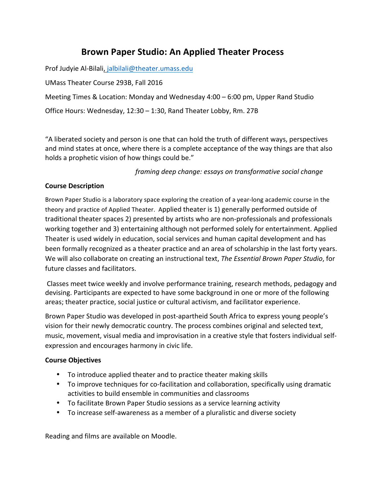# **Brown Paper Studio: An Applied Theater Process**

Prof Judyie Al-Bilali, jalbilali@theater.umass.edu

UMass Theater Course 293B, Fall 2016

Meeting Times & Location: Monday and Wednesday  $4:00 - 6:00$  pm, Upper Rand Studio

Office Hours: Wednesday,  $12:30 - 1:30$ , Rand Theater Lobby, Rm. 27B

"A liberated society and person is one that can hold the truth of different ways, perspectives and mind states at once, where there is a complete acceptance of the way things are that also holds a prophetic vision of how things could be."

*framing deep change: essays on transformative social change* 

### **Course Description**

Brown Paper Studio is a laboratory space exploring the creation of a year-long academic course in the theory and practice of Applied Theater. Applied theater is 1) generally performed outside of traditional theater spaces 2) presented by artists who are non-professionals and professionals working together and 3) entertaining although not performed solely for entertainment. Applied Theater is used widely in education, social services and human capital development and has been formally recognized as a theater practice and an area of scholarship in the last forty years. We will also collaborate on creating an instructional text, *The Essential Brown Paper Studio*, for future classes and facilitators.

Classes meet twice weekly and involve performance training, research methods, pedagogy and devising. Participants are expected to have some background in one or more of the following areas; theater practice, social justice or cultural activism, and facilitator experience.

Brown Paper Studio was developed in post-apartheid South Africa to express young people's vision for their newly democratic country. The process combines original and selected text, music, movement, visual media and improvisation in a creative style that fosters individual selfexpression and encourages harmony in civic life.

# **Course Objectives**

- To introduce applied theater and to practice theater making skills
- To improve techniques for co-facilitation and collaboration, specifically using dramatic activities to build ensemble in communities and classrooms
- To facilitate Brown Paper Studio sessions as a service learning activity
- To increase self-awareness as a member of a pluralistic and diverse society

Reading and films are available on Moodle.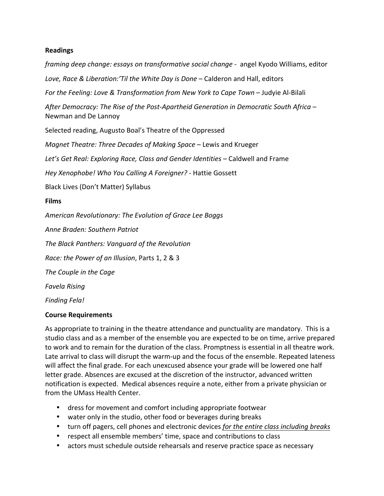### **Readings**

*framing deep change: essays on transformative social change* - angel Kyodo Williams, editor

Love, Race & Liberation:'Til the White Day is Done – Calderon and Hall, editors

*For the Feeling: Love & Transformation from New York to Cape Town* – Judyie Al-Bilali

After Democracy: The Rise of the Post-Apartheid Generation in Democratic South Africa – Newman and De Lannoy

Selected reading, Augusto Boal's Theatre of the Oppressed

*Magnet Theatre: Three Decades of Making Space* – Lewis and Krueger

Let's Get Real: Exploring Race, Class and Gender Identities – Caldwell and Frame

*Hey Xenophobe! Who You Calling A Foreigner?* - Hattie Gossett

Black Lives (Don't Matter) Syllabus

#### **Films**

*American Revolutionary: The Evolution of Grace Lee Boggs*

*Anne Braden: Southern Patriot*

*The Black Panthers: Vanguard of the Revolution*

*Race: the Power of an Illusion*, Parts 1, 2 & 3

**The Couple in the Cage** 

*Favela Rising*

*Finding Fela!*

#### **Course Requirements**

As appropriate to training in the theatre attendance and punctuality are mandatory. This is a studio class and as a member of the ensemble you are expected to be on time, arrive prepared to work and to remain for the duration of the class. Promptness is essential in all theatre work. Late arrival to class will disrupt the warm-up and the focus of the ensemble. Repeated lateness will affect the final grade. For each unexcused absence your grade will be lowered one half letter grade. Absences are excused at the discretion of the instructor, advanced written notification is expected. Medical absences require a note, either from a private physician or from the UMass Health Center.

- dress for movement and comfort including appropriate footwear
- water only in the studio, other food or beverages during breaks
- turn off pagers, cell phones and electronic devices for the entire class including breaks
- respect all ensemble members' time, space and contributions to class
- actors must schedule outside rehearsals and reserve practice space as necessary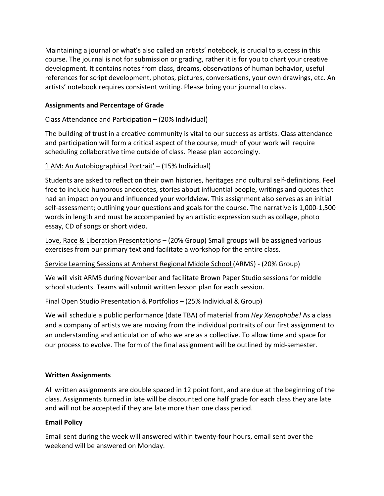Maintaining a journal or what's also called an artists' notebook, is crucial to success in this course. The journal is not for submission or grading, rather it is for you to chart your creative development. It contains notes from class, dreams, observations of human behavior, useful references for script development, photos, pictures, conversations, your own drawings, etc. An artists' notebook requires consistent writing. Please bring your journal to class.

### **Assignments and Percentage of Grade**

### Class Attendance and Participation  $-$  (20% Individual)

The building of trust in a creative community is vital to our success as artists. Class attendance and participation will form a critical aspect of the course, much of your work will require scheduling collaborative time outside of class. Please plan accordingly.

### 'I AM: An Autobiographical Portrait' – (15% Individual)

Students are asked to reflect on their own histories, heritages and cultural self-definitions. Feel free to include humorous anecdotes, stories about influential people, writings and quotes that had an impact on you and influenced your worldview. This assignment also serves as an initial self-assessment; outlining your questions and goals for the course. The narrative is 1,000-1,500 words in length and must be accompanied by an artistic expression such as collage, photo essay, CD of songs or short video.

Love, Race & Liberation Presentations  $-$  (20% Group) Small groups will be assigned various exercises from our primary text and facilitate a workshop for the entire class.

#### Service Learning Sessions at Amherst Regional Middle School (ARMS) - (20% Group)

We will visit ARMS during November and facilitate Brown Paper Studio sessions for middle school students. Teams will submit written lesson plan for each session.

# Final Open Studio Presentation & Portfolios – (25% Individual & Group)

We will schedule a public performance (date TBA) of material from *Hey Xenophobe!* As a class and a company of artists we are moving from the individual portraits of our first assignment to an understanding and articulation of who we are as a collective. To allow time and space for our process to evolve. The form of the final assignment will be outlined by mid-semester.

#### **Written Assignments**

All written assignments are double spaced in 12 point font, and are due at the beginning of the class. Assignments turned in late will be discounted one half grade for each class they are late and will not be accepted if they are late more than one class period.

# **Email Policy**

Email sent during the week will answered within twenty-four hours, email sent over the weekend will be answered on Monday.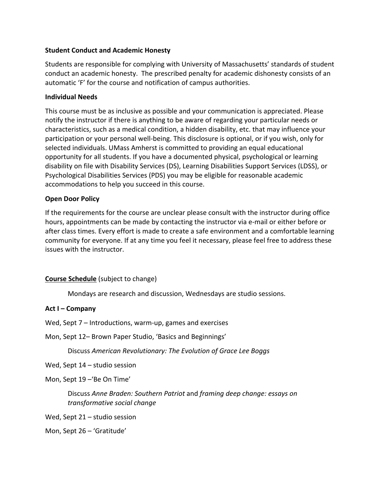#### **Student Conduct and Academic Honesty**

Students are responsible for complying with University of Massachusetts' standards of student conduct an academic honesty. The prescribed penalty for academic dishonesty consists of an automatic 'F' for the course and notification of campus authorities.

### **Individual Needs**

This course must be as inclusive as possible and your communication is appreciated. Please notify the instructor if there is anything to be aware of regarding your particular needs or characteristics, such as a medical condition, a hidden disability, etc. that may influence your participation or your personal well-being. This disclosure is optional, or if you wish, only for selected individuals. UMass Amherst is committed to providing an equal educational opportunity for all students. If you have a documented physical, psychological or learning disability on file with Disability Services (DS), Learning Disabilities Support Services (LDSS), or Psychological Disabilities Services (PDS) you may be eligible for reasonable academic accommodations to help you succeed in this course.

### **Open Door Policy**

If the requirements for the course are unclear please consult with the instructor during office hours, appointments can be made by contacting the instructor via e-mail or either before or after class times. Every effort is made to create a safe environment and a comfortable learning community for everyone. If at any time you feel it necessary, please feel free to address these issues with the instructor.

# **Course Schedule** (subject to change)

Mondays are research and discussion, Wednesdays are studio sessions.

# **Act I – Company**

Wed, Sept  $7$  – Introductions, warm-up, games and exercises

Mon, Sept 12– Brown Paper Studio, 'Basics and Beginnings'

Discuss *American Revolutionary: The Evolution of Grace Lee Boggs*

Wed, Sept  $14$  – studio session

Mon, Sept 19 – Be On Time'

Discuss Anne Braden: Southern Patriot and *framing deep change: essays on transformative social change*

Wed, Sept  $21 -$  studio session

Mon, Sept 26 – 'Gratitude'